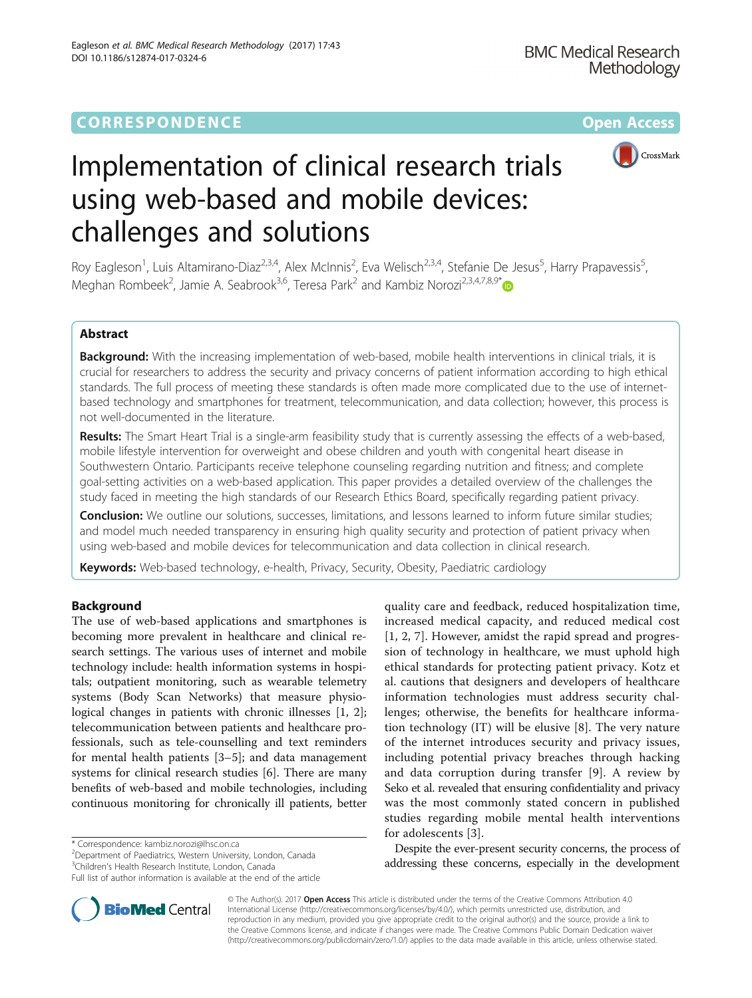

# Implementation of clinical research trials using web-based and mobile devices: challenges and solutions

Roy Eagleson<sup>1</sup>, Luis Altamirano-Diaz<sup>2,3,4</sup>, Alex McInnis<sup>2</sup>, Eva Welisch<sup>2,3,4</sup>, Stefanie De Jesus<sup>5</sup>, Harry Prapavessis<sup>5</sup> , Meghan Rombeek<sup>2</sup>, Jamie A. Seabrook<sup>3,6</sup>, Teresa Park<sup>2</sup> and Kambiz Norozi<sup>2,3,4,7,8,9\*</sup>

# Abstract

Background: With the increasing implementation of web-based, mobile health interventions in clinical trials, it is crucial for researchers to address the security and privacy concerns of patient information according to high ethical standards. The full process of meeting these standards is often made more complicated due to the use of internetbased technology and smartphones for treatment, telecommunication, and data collection; however, this process is not well-documented in the literature.

Results: The Smart Heart Trial is a single-arm feasibility study that is currently assessing the effects of a web-based, mobile lifestyle intervention for overweight and obese children and youth with congenital heart disease in Southwestern Ontario. Participants receive telephone counseling regarding nutrition and fitness; and complete goal-setting activities on a web-based application. This paper provides a detailed overview of the challenges the study faced in meeting the high standards of our Research Ethics Board, specifically regarding patient privacy.

Conclusion: We outline our solutions, successes, limitations, and lessons learned to inform future similar studies; and model much needed transparency in ensuring high quality security and protection of patient privacy when using web-based and mobile devices for telecommunication and data collection in clinical research.

Keywords: Web-based technology, e-health, Privacy, Security, Obesity, Paediatric cardiology

# Background

The use of web-based applications and smartphones is becoming more prevalent in healthcare and clinical research settings. The various uses of internet and mobile technology include: health information systems in hospitals; outpatient monitoring, such as wearable telemetry systems (Body Scan Networks) that measure physiological changes in patients with chronic illnesses [\[1](#page-6-0), [2](#page-6-0)]; telecommunication between patients and healthcare professionals, such as tele-counselling and text reminders for mental health patients [[3](#page-6-0)–[5\]](#page-6-0); and data management systems for clinical research studies [\[6\]](#page-6-0). There are many benefits of web-based and mobile technologies, including continuous monitoring for chronically ill patients, better

\* Correspondence: [kambiz.norozi@lhsc.on.ca](mailto:kambiz.norozi@lhsc.on.ca) <sup>2</sup>

<sup>2</sup>Department of Paediatrics, Western University, London, Canada <sup>3</sup>Children's Health Research Institute, London, Canada

Full list of author information is available at the end of the article



quality care and feedback, reduced hospitalization time, increased medical capacity, and reduced medical cost [[1, 2](#page-6-0), [7](#page-6-0)]. However, amidst the rapid spread and progression of technology in healthcare, we must uphold high ethical standards for protecting patient privacy. Kotz et al. cautions that designers and developers of healthcare information technologies must address security challenges; otherwise, the benefits for healthcare information technology (IT) will be elusive [[8](#page-6-0)]. The very nature of the internet introduces security and privacy issues, including potential privacy breaches through hacking and data corruption during transfer [[9\]](#page-7-0). A review by Seko et al. revealed that ensuring confidentiality and privacy was the most commonly stated concern in published studies regarding mobile mental health interventions for adolescents [[3\]](#page-6-0).

Despite the ever-present security concerns, the process of addressing these concerns, especially in the development

© The Author(s). 2017 **Open Access** This article is distributed under the terms of the Creative Commons Attribution 4.0 International License [\(http://creativecommons.org/licenses/by/4.0/](http://creativecommons.org/licenses/by/4.0/)), which permits unrestricted use, distribution, and reproduction in any medium, provided you give appropriate credit to the original author(s) and the source, provide a link to the Creative Commons license, and indicate if changes were made. The Creative Commons Public Domain Dedication waiver [\(http://creativecommons.org/publicdomain/zero/1.0/](http://creativecommons.org/publicdomain/zero/1.0/)) applies to the data made available in this article, unless otherwise stated.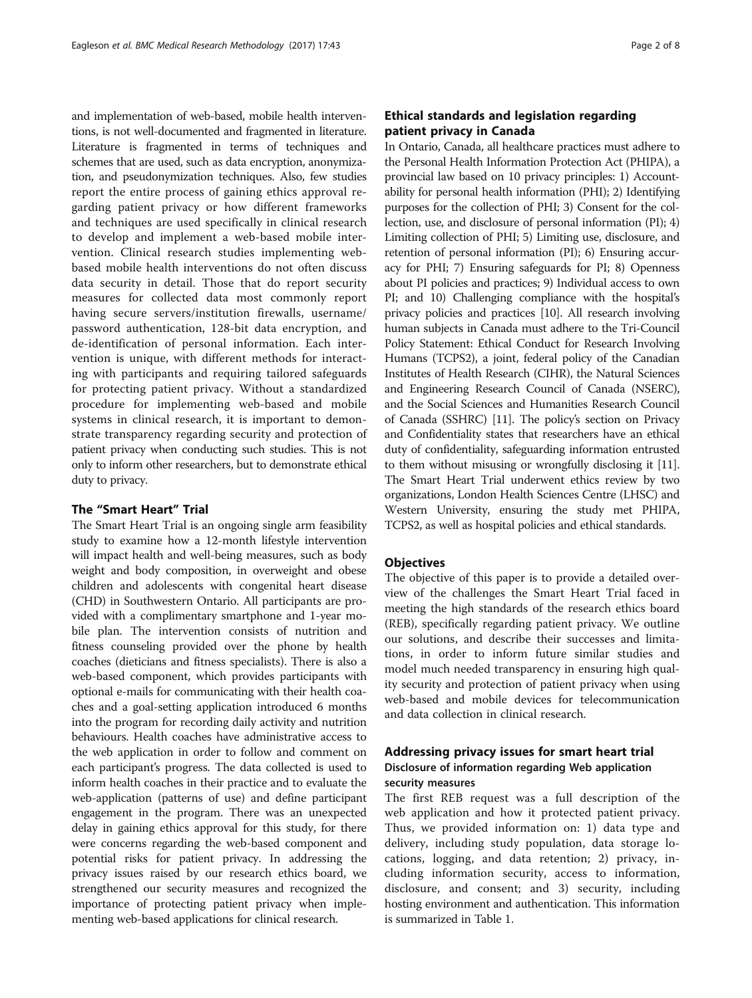and implementation of web-based, mobile health interventions, is not well-documented and fragmented in literature. Literature is fragmented in terms of techniques and schemes that are used, such as data encryption, anonymization, and pseudonymization techniques. Also, few studies report the entire process of gaining ethics approval regarding patient privacy or how different frameworks and techniques are used specifically in clinical research to develop and implement a web-based mobile intervention. Clinical research studies implementing webbased mobile health interventions do not often discuss data security in detail. Those that do report security measures for collected data most commonly report having secure servers/institution firewalls, username/ password authentication, 128-bit data encryption, and de-identification of personal information. Each intervention is unique, with different methods for interacting with participants and requiring tailored safeguards for protecting patient privacy. Without a standardized procedure for implementing web-based and mobile systems in clinical research, it is important to demonstrate transparency regarding security and protection of patient privacy when conducting such studies. This is not only to inform other researchers, but to demonstrate ethical duty to privacy.

# The "Smart Heart" Trial

The Smart Heart Trial is an ongoing single arm feasibility study to examine how a 12-month lifestyle intervention will impact health and well-being measures, such as body weight and body composition, in overweight and obese children and adolescents with congenital heart disease (CHD) in Southwestern Ontario. All participants are provided with a complimentary smartphone and 1-year mobile plan. The intervention consists of nutrition and fitness counseling provided over the phone by health coaches (dieticians and fitness specialists). There is also a web-based component, which provides participants with optional e-mails for communicating with their health coaches and a goal-setting application introduced 6 months into the program for recording daily activity and nutrition behaviours. Health coaches have administrative access to the web application in order to follow and comment on each participant's progress. The data collected is used to inform health coaches in their practice and to evaluate the web-application (patterns of use) and define participant engagement in the program. There was an unexpected delay in gaining ethics approval for this study, for there were concerns regarding the web-based component and potential risks for patient privacy. In addressing the privacy issues raised by our research ethics board, we strengthened our security measures and recognized the importance of protecting patient privacy when implementing web-based applications for clinical research.

# Ethical standards and legislation regarding patient privacy in Canada

In Ontario, Canada, all healthcare practices must adhere to the Personal Health Information Protection Act (PHIPA), a provincial law based on 10 privacy principles: 1) Accountability for personal health information (PHI); 2) Identifying purposes for the collection of PHI; 3) Consent for the collection, use, and disclosure of personal information (PI); 4) Limiting collection of PHI; 5) Limiting use, disclosure, and retention of personal information (PI); 6) Ensuring accuracy for PHI; 7) Ensuring safeguards for PI; 8) Openness about PI policies and practices; 9) Individual access to own PI; and 10) Challenging compliance with the hospital's privacy policies and practices [\[10\]](#page-7-0). All research involving human subjects in Canada must adhere to the Tri-Council Policy Statement: Ethical Conduct for Research Involving Humans (TCPS2), a joint, federal policy of the Canadian Institutes of Health Research (CIHR), the Natural Sciences and Engineering Research Council of Canada (NSERC), and the Social Sciences and Humanities Research Council of Canada (SSHRC) [\[11\]](#page-7-0). The policy's section on Privacy and Confidentiality states that researchers have an ethical duty of confidentiality, safeguarding information entrusted to them without misusing or wrongfully disclosing it [\[11](#page-7-0)]. The Smart Heart Trial underwent ethics review by two organizations, London Health Sciences Centre (LHSC) and Western University, ensuring the study met PHIPA, TCPS2, as well as hospital policies and ethical standards.

# **Objectives**

The objective of this paper is to provide a detailed overview of the challenges the Smart Heart Trial faced in meeting the high standards of the research ethics board (REB), specifically regarding patient privacy. We outline our solutions, and describe their successes and limitations, in order to inform future similar studies and model much needed transparency in ensuring high quality security and protection of patient privacy when using web-based and mobile devices for telecommunication and data collection in clinical research.

# Addressing privacy issues for smart heart trial Disclosure of information regarding Web application security measures

The first REB request was a full description of the web application and how it protected patient privacy. Thus, we provided information on: 1) data type and delivery, including study population, data storage locations, logging, and data retention; 2) privacy, including information security, access to information, disclosure, and consent; and 3) security, including hosting environment and authentication. This information is summarized in Table [1.](#page-2-0)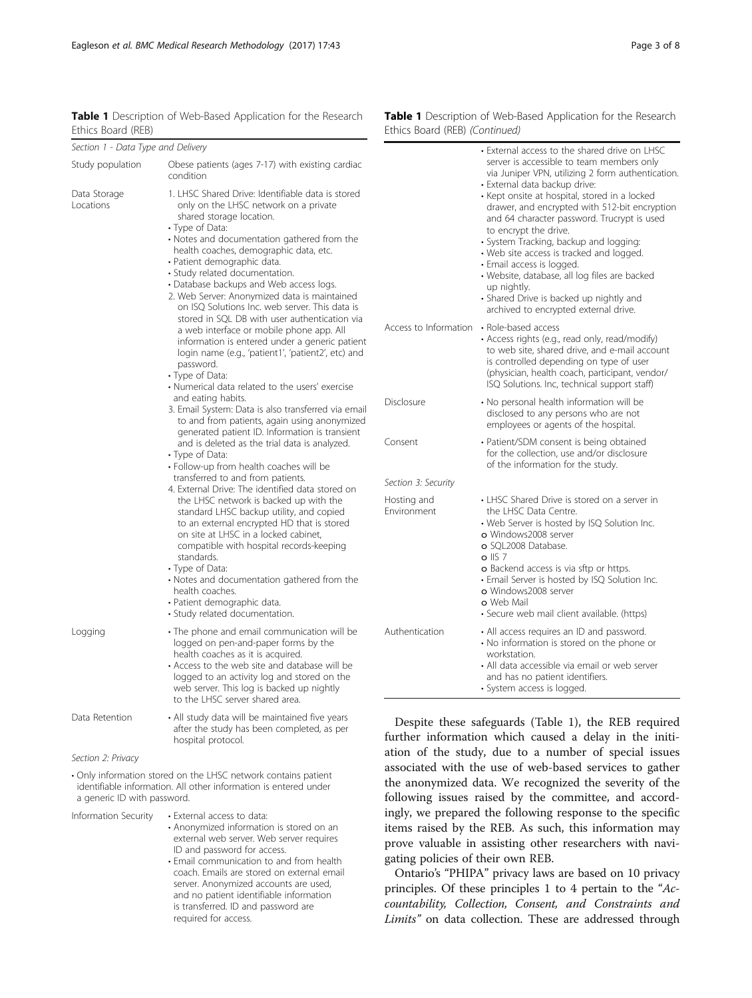| Section 1 - Data Type and Delivery            |                                                                                                                                                                                                                                                                                                                                                                                                                                                                                                                                                                                                                                                                                                                                                                                                                                                                                                                                                                                                                                                                         |                            | • External access to the shared drive on LHSC                                                                                                                                                                                                                                                                                                                                                                                                                                                                                                                                   |
|-----------------------------------------------|-------------------------------------------------------------------------------------------------------------------------------------------------------------------------------------------------------------------------------------------------------------------------------------------------------------------------------------------------------------------------------------------------------------------------------------------------------------------------------------------------------------------------------------------------------------------------------------------------------------------------------------------------------------------------------------------------------------------------------------------------------------------------------------------------------------------------------------------------------------------------------------------------------------------------------------------------------------------------------------------------------------------------------------------------------------------------|----------------------------|---------------------------------------------------------------------------------------------------------------------------------------------------------------------------------------------------------------------------------------------------------------------------------------------------------------------------------------------------------------------------------------------------------------------------------------------------------------------------------------------------------------------------------------------------------------------------------|
| Study population<br>Data Storage<br>Locations | Obese patients (ages 7-17) with existing cardiac<br>condition<br>1. LHSC Shared Drive: Identifiable data is stored<br>only on the LHSC network on a private<br>shared storage location.<br>• Type of Data:<br>• Notes and documentation gathered from the<br>health coaches, demographic data, etc.<br>· Patient demographic data.<br>· Study related documentation.<br>• Database backups and Web access logs.<br>2. Web Server: Anonymized data is maintained<br>on ISO Solutions Inc. web server. This data is                                                                                                                                                                                                                                                                                                                                                                                                                                                                                                                                                       |                            | server is accessible to team members only<br>via Juniper VPN, utilizing 2 form authentication<br>• External data backup drive:<br>• Kept onsite at hospital, stored in a locked<br>drawer, and encrypted with 512-bit encryption<br>and 64 character password. Trucrypt is used<br>to encrypt the drive.<br>· System Tracking, backup and logging:<br>• Web site access is tracked and logged.<br>• Email access is logged.<br>· Website, database, all log files are backed<br>up nightly.<br>· Shared Drive is backed up nightly and<br>archived to encrypted external drive. |
|                                               | stored in SQL DB with user authentication via<br>a web interface or mobile phone app. All<br>information is entered under a generic patient<br>login name (e.g., 'patient1', 'patient2', etc) and<br>password.<br>• Type of Data:<br>• Numerical data related to the users' exercise<br>and eating habits.<br>3. Email System: Data is also transferred via email<br>to and from patients, again using anonymized<br>generated patient ID. Information is transient<br>and is deleted as the trial data is analyzed.<br>• Type of Data:<br>· Follow-up from health coaches will be<br>transferred to and from patients.<br>4. External Drive: The identified data stored on<br>the LHSC network is backed up with the<br>standard LHSC backup utility, and copied<br>to an external encrypted HD that is stored<br>on site at LHSC in a locked cabinet,<br>compatible with hospital records-keeping<br>standards.<br>• Type of Data:<br>• Notes and documentation gathered from the<br>health coaches.<br>· Patient demographic data.<br>· Study related documentation. | Access to Information      | • Role-based access<br>• Access rights (e.g., read only, read/modify)<br>to web site, shared drive, and e-mail account<br>is controlled depending on type of user<br>(physician, health coach, participant, vendor/<br>ISQ Solutions. Inc, technical support staff)                                                                                                                                                                                                                                                                                                             |
|                                               |                                                                                                                                                                                                                                                                                                                                                                                                                                                                                                                                                                                                                                                                                                                                                                                                                                                                                                                                                                                                                                                                         | Disclosure                 | · No personal health information will be<br>disclosed to any persons who are not<br>employees or agents of the hospital.                                                                                                                                                                                                                                                                                                                                                                                                                                                        |
|                                               |                                                                                                                                                                                                                                                                                                                                                                                                                                                                                                                                                                                                                                                                                                                                                                                                                                                                                                                                                                                                                                                                         | Consent                    | · Patient/SDM consent is being obtained<br>for the collection, use and/or disclosure<br>of the information for the study.                                                                                                                                                                                                                                                                                                                                                                                                                                                       |
|                                               |                                                                                                                                                                                                                                                                                                                                                                                                                                                                                                                                                                                                                                                                                                                                                                                                                                                                                                                                                                                                                                                                         | Section 3: Security        |                                                                                                                                                                                                                                                                                                                                                                                                                                                                                                                                                                                 |
|                                               |                                                                                                                                                                                                                                                                                                                                                                                                                                                                                                                                                                                                                                                                                                                                                                                                                                                                                                                                                                                                                                                                         | Hosting and<br>Environment | • LHSC Shared Drive is stored on a server in<br>the LHSC Data Centre.<br>• Web Server is hosted by ISQ Solution Inc.<br>o Windows2008 server<br>o SQL2008 Database.<br>$o$ IIS 7<br><b>o</b> Backend access is via sftp or https.<br>• Email Server is hosted by ISQ Solution Inc.<br>o Windows2008 server<br>o Web Mail<br>· Secure web mail client available. (https)                                                                                                                                                                                                         |
| Logging                                       | · The phone and email communication will be<br>logged on pen-and-paper forms by the<br>health coaches as it is acquired.<br>• Access to the web site and database will be<br>logged to an activity log and stored on the<br>web server. This log is backed up nightly<br>to the LHSC server shared area.                                                                                                                                                                                                                                                                                                                                                                                                                                                                                                                                                                                                                                                                                                                                                                | Authentication             | • All access requires an ID and password.<br>• No information is stored on the phone or<br>workstation.<br>• All data accessible via email or web server<br>and has no patient identifiers.<br>· System access is logged.                                                                                                                                                                                                                                                                                                                                                       |

<span id="page-2-0"></span>Table 1 Description of Web-Based Application for the Research Ethics Board (REB)

Section 2: Privacy

• Only information stored on the LHSC network contains patient identifiable information. All other information is entered under a generic ID with password.

Data Retention • All study data will be maintained five years

hospital protocol.

Information Security • External access to data:

• Anonymized information is stored on an external web server. Web server requires ID and password for access.

after the study has been completed, as per

• Email communication to and from health coach. Emails are stored on external email server. Anonymized accounts are used, and no patient identifiable information is transferred. ID and password are required for access.

Table 1 Description of Web-Based Application for the Research Ethics Board (REB) (Continued)

Despite these safeguards (Table 1), the REB required further information which caused a delay in the initiation of the study, due to a number of special issues associated with the use of web-based services to gather the anonymized data. We recognized the severity of the following issues raised by the committee, and accordingly, we prepared the following response to the specific items raised by the REB. As such, this information may prove valuable in assisting other researchers with navigating policies of their own REB.

Ontario's "PHIPA" privacy laws are based on 10 privacy principles. Of these principles 1 to 4 pertain to the "Accountability, Collection, Consent, and Constraints and Limits" on data collection. These are addressed through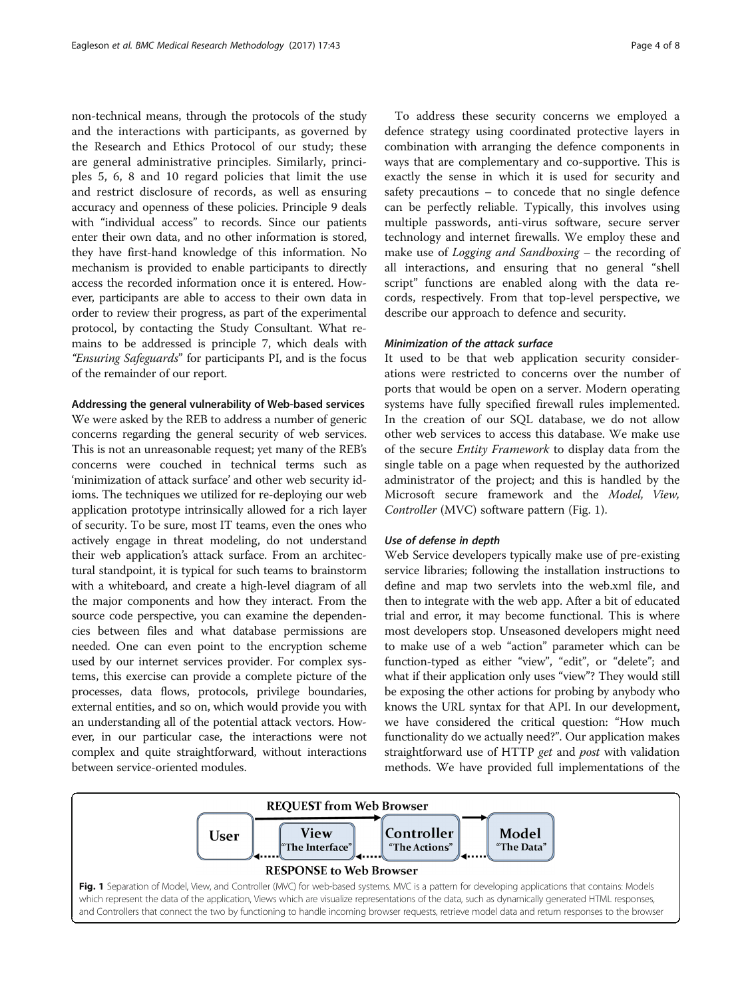non-technical means, through the protocols of the study and the interactions with participants, as governed by the Research and Ethics Protocol of our study; these are general administrative principles. Similarly, principles 5, 6, 8 and 10 regard policies that limit the use and restrict disclosure of records, as well as ensuring accuracy and openness of these policies. Principle 9 deals with "individual access" to records. Since our patients enter their own data, and no other information is stored, they have first-hand knowledge of this information. No mechanism is provided to enable participants to directly access the recorded information once it is entered. However, participants are able to access to their own data in order to review their progress, as part of the experimental protocol, by contacting the Study Consultant. What remains to be addressed is principle 7, which deals with "Ensuring Safeguards" for participants PI, and is the focus of the remainder of our report.

## Addressing the general vulnerability of Web-based services

We were asked by the REB to address a number of generic concerns regarding the general security of web services. This is not an unreasonable request; yet many of the REB's concerns were couched in technical terms such as 'minimization of attack surface' and other web security idioms. The techniques we utilized for re-deploying our web application prototype intrinsically allowed for a rich layer of security. To be sure, most IT teams, even the ones who actively engage in threat modeling, do not understand their web application's attack surface. From an architectural standpoint, it is typical for such teams to brainstorm with a whiteboard, and create a high-level diagram of all the major components and how they interact. From the source code perspective, you can examine the dependencies between files and what database permissions are needed. One can even point to the encryption scheme used by our internet services provider. For complex systems, this exercise can provide a complete picture of the processes, data flows, protocols, privilege boundaries, external entities, and so on, which would provide you with an understanding all of the potential attack vectors. However, in our particular case, the interactions were not complex and quite straightforward, without interactions between service-oriented modules.

To address these security concerns we employed a defence strategy using coordinated protective layers in combination with arranging the defence components in ways that are complementary and co-supportive. This is exactly the sense in which it is used for security and safety precautions – to concede that no single defence can be perfectly reliable. Typically, this involves using multiple passwords, anti-virus software, secure server technology and internet firewalls. We employ these and make use of Logging and Sandboxing – the recording of all interactions, and ensuring that no general "shell script" functions are enabled along with the data records, respectively. From that top-level perspective, we describe our approach to defence and security.

# Minimization of the attack surface

It used to be that web application security considerations were restricted to concerns over the number of ports that would be open on a server. Modern operating systems have fully specified firewall rules implemented. In the creation of our SQL database, we do not allow other web services to access this database. We make use of the secure Entity Framework to display data from the single table on a page when requested by the authorized administrator of the project; and this is handled by the Microsoft secure framework and the Model, View, Controller (MVC) software pattern (Fig. 1).

## Use of defense in depth

Web Service developers typically make use of pre-existing service libraries; following the installation instructions to define and map two servlets into the web.xml file, and then to integrate with the web app. After a bit of educated trial and error, it may become functional. This is where most developers stop. Unseasoned developers might need to make use of a web "action" parameter which can be function-typed as either "view", "edit", or "delete"; and what if their application only uses "view"? They would still be exposing the other actions for probing by anybody who knows the URL syntax for that API. In our development, we have considered the critical question: "How much functionality do we actually need?". Our application makes straightforward use of HTTP get and post with validation methods. We have provided full implementations of the

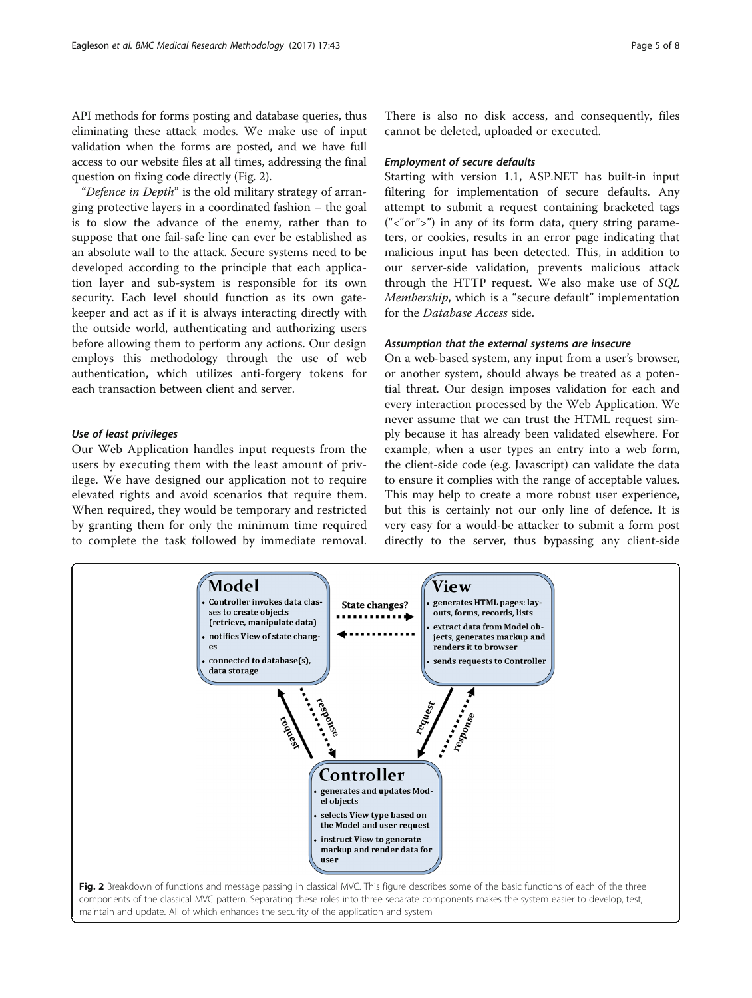API methods for forms posting and database queries, thus eliminating these attack modes. We make use of input validation when the forms are posted, and we have full access to our website files at all times, addressing the final question on fixing code directly (Fig. 2).

"Defence in Depth" is the old military strategy of arranging protective layers in a coordinated fashion – the goal is to slow the advance of the enemy, rather than to suppose that one fail-safe line can ever be established as an absolute wall to the attack. Secure systems need to be developed according to the principle that each application layer and sub-system is responsible for its own security. Each level should function as its own gatekeeper and act as if it is always interacting directly with the outside world, authenticating and authorizing users before allowing them to perform any actions. Our design employs this methodology through the use of web authentication, which utilizes anti-forgery tokens for each transaction between client and server.

# Use of least privileges

Our Web Application handles input requests from the users by executing them with the least amount of privilege. We have designed our application not to require elevated rights and avoid scenarios that require them. When required, they would be temporary and restricted by granting them for only the minimum time required to complete the task followed by immediate removal.

There is also no disk access, and consequently, files cannot be deleted, uploaded or executed.

## Employment of secure defaults

Starting with version 1.1, ASP.NET has built-in input filtering for implementation of secure defaults. Any attempt to submit a request containing bracketed tags  $(*<sup>o</sup> or <sup>n</sup>)$  in any of its form data, query string parameters, or cookies, results in an error page indicating that malicious input has been detected. This, in addition to our server-side validation, prevents malicious attack through the HTTP request. We also make use of SQL Membership, which is a "secure default" implementation for the Database Access side.

# Assumption that the external systems are insecure

On a web-based system, any input from a user's browser, or another system, should always be treated as a potential threat. Our design imposes validation for each and every interaction processed by the Web Application. We never assume that we can trust the HTML request simply because it has already been validated elsewhere. For example, when a user types an entry into a web form, the client-side code (e.g. Javascript) can validate the data to ensure it complies with the range of acceptable values. This may help to create a more robust user experience, but this is certainly not our only line of defence. It is very easy for a would-be attacker to submit a form post directly to the server, thus bypassing any client-side

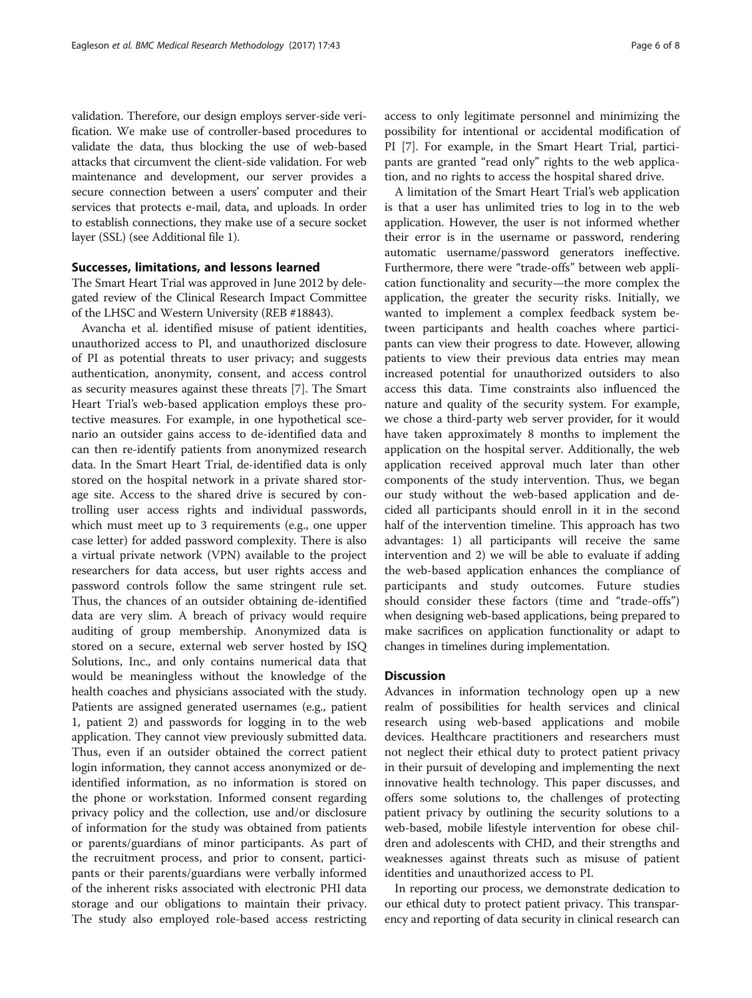validation. Therefore, our design employs server-side verification. We make use of controller-based procedures to validate the data, thus blocking the use of web-based attacks that circumvent the client-side validation. For web maintenance and development, our server provides a secure connection between a users' computer and their services that protects e-mail, data, and uploads. In order to establish connections, they make use of a secure socket layer (SSL) (see Additional file [1\)](#page-6-0).

## Successes, limitations, and lessons learned

The Smart Heart Trial was approved in June 2012 by delegated review of the Clinical Research Impact Committee of the LHSC and Western University (REB #18843).

Avancha et al. identified misuse of patient identities, unauthorized access to PI, and unauthorized disclosure of PI as potential threats to user privacy; and suggests authentication, anonymity, consent, and access control as security measures against these threats [[7\]](#page-6-0). The Smart Heart Trial's web-based application employs these protective measures. For example, in one hypothetical scenario an outsider gains access to de-identified data and can then re-identify patients from anonymized research data. In the Smart Heart Trial, de-identified data is only stored on the hospital network in a private shared storage site. Access to the shared drive is secured by controlling user access rights and individual passwords, which must meet up to 3 requirements (e.g., one upper case letter) for added password complexity. There is also a virtual private network (VPN) available to the project researchers for data access, but user rights access and password controls follow the same stringent rule set. Thus, the chances of an outsider obtaining de-identified data are very slim. A breach of privacy would require auditing of group membership. Anonymized data is stored on a secure, external web server hosted by ISQ Solutions, Inc., and only contains numerical data that would be meaningless without the knowledge of the health coaches and physicians associated with the study. Patients are assigned generated usernames (e.g., patient 1, patient 2) and passwords for logging in to the web application. They cannot view previously submitted data. Thus, even if an outsider obtained the correct patient login information, they cannot access anonymized or deidentified information, as no information is stored on the phone or workstation. Informed consent regarding privacy policy and the collection, use and/or disclosure of information for the study was obtained from patients or parents/guardians of minor participants. As part of the recruitment process, and prior to consent, participants or their parents/guardians were verbally informed of the inherent risks associated with electronic PHI data storage and our obligations to maintain their privacy. The study also employed role-based access restricting access to only legitimate personnel and minimizing the possibility for intentional or accidental modification of PI [\[7](#page-6-0)]. For example, in the Smart Heart Trial, participants are granted "read only" rights to the web application, and no rights to access the hospital shared drive.

A limitation of the Smart Heart Trial's web application is that a user has unlimited tries to log in to the web application. However, the user is not informed whether their error is in the username or password, rendering automatic username/password generators ineffective. Furthermore, there were "trade-offs" between web application functionality and security—the more complex the application, the greater the security risks. Initially, we wanted to implement a complex feedback system between participants and health coaches where participants can view their progress to date. However, allowing patients to view their previous data entries may mean increased potential for unauthorized outsiders to also access this data. Time constraints also influenced the nature and quality of the security system. For example, we chose a third-party web server provider, for it would have taken approximately 8 months to implement the application on the hospital server. Additionally, the web application received approval much later than other components of the study intervention. Thus, we began our study without the web-based application and decided all participants should enroll in it in the second half of the intervention timeline. This approach has two advantages: 1) all participants will receive the same intervention and 2) we will be able to evaluate if adding the web-based application enhances the compliance of participants and study outcomes. Future studies should consider these factors (time and "trade-offs") when designing web-based applications, being prepared to make sacrifices on application functionality or adapt to changes in timelines during implementation.

## **Discussion**

Advances in information technology open up a new realm of possibilities for health services and clinical research using web-based applications and mobile devices. Healthcare practitioners and researchers must not neglect their ethical duty to protect patient privacy in their pursuit of developing and implementing the next innovative health technology. This paper discusses, and offers some solutions to, the challenges of protecting patient privacy by outlining the security solutions to a web-based, mobile lifestyle intervention for obese children and adolescents with CHD, and their strengths and weaknesses against threats such as misuse of patient identities and unauthorized access to PI.

In reporting our process, we demonstrate dedication to our ethical duty to protect patient privacy. This transparency and reporting of data security in clinical research can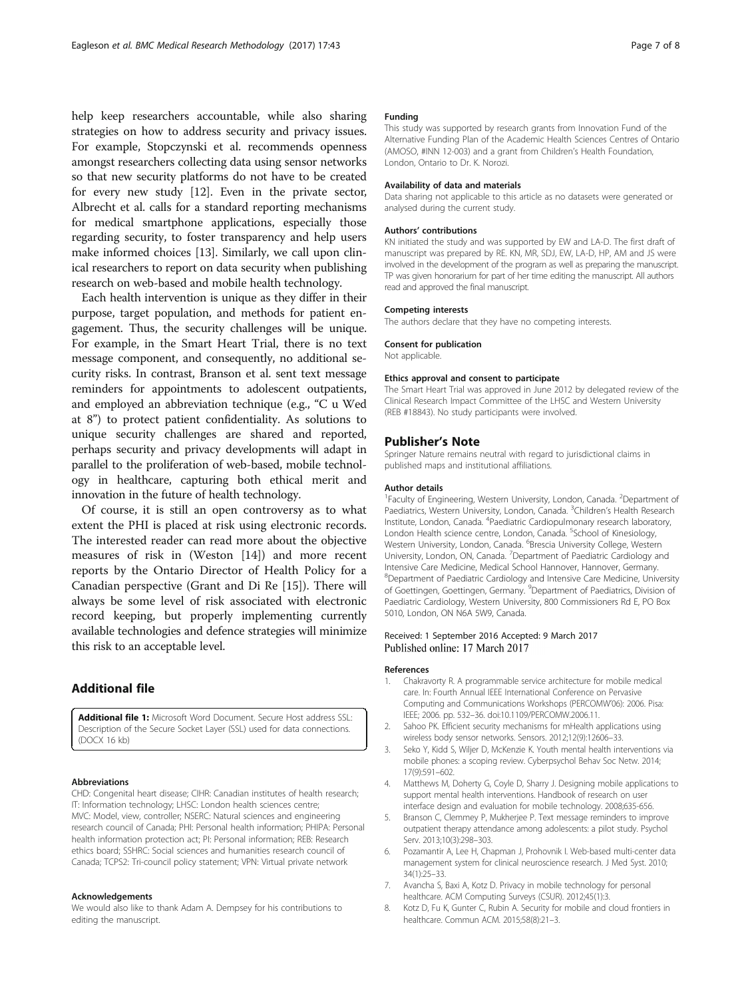<span id="page-6-0"></span>help keep researchers accountable, while also sharing strategies on how to address security and privacy issues. For example, Stopczynski et al. recommends openness amongst researchers collecting data using sensor networks so that new security platforms do not have to be created for every new study [[12](#page-7-0)]. Even in the private sector, Albrecht et al. calls for a standard reporting mechanisms for medical smartphone applications, especially those regarding security, to foster transparency and help users make informed choices [[13](#page-7-0)]. Similarly, we call upon clinical researchers to report on data security when publishing research on web-based and mobile health technology.

Each health intervention is unique as they differ in their purpose, target population, and methods for patient engagement. Thus, the security challenges will be unique. For example, in the Smart Heart Trial, there is no text message component, and consequently, no additional security risks. In contrast, Branson et al. sent text message reminders for appointments to adolescent outpatients, and employed an abbreviation technique (e.g., "C u Wed at 8") to protect patient confidentiality. As solutions to unique security challenges are shared and reported, perhaps security and privacy developments will adapt in parallel to the proliferation of web-based, mobile technology in healthcare, capturing both ethical merit and innovation in the future of health technology.

Of course, it is still an open controversy as to what extent the PHI is placed at risk using electronic records. The interested reader can read more about the objective measures of risk in (Weston [\[14\]](#page-7-0)) and more recent reports by the Ontario Director of Health Policy for a Canadian perspective (Grant and Di Re [[15\]](#page-7-0)). There will always be some level of risk associated with electronic record keeping, but properly implementing currently available technologies and defence strategies will minimize this risk to an acceptable level.

# Additional file

[Additional file 1:](dx.doi.org/10.1186/s12874-017-0324-6) Microsoft Word Document. Secure Host address SSL: Description of the Secure Socket Layer (SSL) used for data connections. (DOCX 16 kb)

### Abbreviations

CHD: Congenital heart disease; CIHR: Canadian institutes of health research; IT: Information technology; LHSC: London health sciences centre; MVC: Model, view, controller; NSERC: Natural sciences and engineering research council of Canada; PHI: Personal health information; PHIPA: Personal health information protection act; PI: Personal information; REB: Research ethics board; SSHRC: Social sciences and humanities research council of Canada; TCPS2: Tri-council policy statement; VPN: Virtual private network

#### Acknowledgements

We would also like to thank Adam A. Dempsey for his contributions to editing the manuscript.

## Funding

This study was supported by research grants from Innovation Fund of the Alternative Funding Plan of the Academic Health Sciences Centres of Ontario (AMOSO, #INN 12-003) and a grant from Children's Health Foundation, London, Ontario to Dr. K. Norozi.

#### Availability of data and materials

Data sharing not applicable to this article as no datasets were generated or analysed during the current study.

#### Authors' contributions

KN initiated the study and was supported by EW and LA-D. The first draft of manuscript was prepared by RE. KN, MR, SDJ, EW, LA-D, HP, AM and JS were involved in the development of the program as well as preparing the manuscript. TP was given honorarium for part of her time editing the manuscript. All authors read and approved the final manuscript.

#### Competing interests

The authors declare that they have no competing interests.

#### Consent for publication

Not applicable.

#### Ethics approval and consent to participate

The Smart Heart Trial was approved in June 2012 by delegated review of the Clinical Research Impact Committee of the LHSC and Western University (REB #18843). No study participants were involved.

## Publisher's Note

Springer Nature remains neutral with regard to jurisdictional claims in published maps and institutional affiliations.

#### Author details

<sup>1</sup> Faculty of Engineering, Western University, London, Canada. <sup>2</sup> Department of Paediatrics, Western University, London, Canada. <sup>3</sup>Children's Health Research Institute, London, Canada. <sup>4</sup>Paediatric Cardiopulmonary research laboratory London Health science centre, London, Canada. <sup>5</sup>School of Kinesiology Western University, London, Canada. <sup>6</sup>Brescia University College, Western University, London, ON, Canada. <sup>7</sup>Department of Paediatric Cardiology and Intensive Care Medicine, Medical School Hannover, Hannover, Germany. 8 Department of Paediatric Cardiology and Intensive Care Medicine, University of Goettingen, Goettingen, Germany. <sup>9</sup>Department of Paediatrics, Division of Paediatric Cardiology, Western University, 800 Commissioners Rd E, PO Box 5010, London, ON N6A 5W9, Canada.

## Received: 1 September 2016 Accepted: 9 March 2017 Published online: 17 March 2017

#### References

- 1. Chakravorty R. A programmable service architecture for mobile medical care. In: Fourth Annual IEEE International Conference on Pervasive Computing and Communications Workshops (PERCOMW'06): 2006. Pisa: IEEE; 2006. pp. 532–36. doi:[10.1109/PERCOMW.2006.11.](http://dx.doi.org/10.1109/PERCOMW.2006.11)
- 2. Sahoo PK. Efficient security mechanisms for mHealth applications using wireless body sensor networks. Sensors. 2012;12(9):12606–33.
- 3. Seko Y, Kidd S, Wiljer D, McKenzie K. Youth mental health interventions via mobile phones: a scoping review. Cyberpsychol Behav Soc Netw. 2014; 17(9):591–602.
- 4. Matthews M, Doherty G, Coyle D, Sharry J. Designing mobile applications to support mental health interventions. Handbook of research on user interface design and evaluation for mobile technology. 2008;635-656.
- Branson C, Clemmey P, Mukherjee P. Text message reminders to improve outpatient therapy attendance among adolescents: a pilot study. Psychol Serv. 2013;10(3):298–303.
- 6. Pozamantir A, Lee H, Chapman J, Prohovnik I. Web-based multi-center data management system for clinical neuroscience research. J Med Syst. 2010; 34(1):25–33.
- 7. Avancha S, Baxi A, Kotz D. Privacy in mobile technology for personal healthcare. ACM Computing Surveys (CSUR). 2012;45(1):3.
- 8. Kotz D, Fu K, Gunter C, Rubin A. Security for mobile and cloud frontiers in healthcare. Commun ACM. 2015;58(8):21–3.